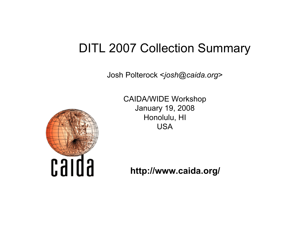#### DITL 2007 Collection Summary

Josh Polterock <*josh@caida.org*>



CAIDA/WIDE Workshop January 19, 2008 Honolulu, HI USA

**http://www.caida.org/**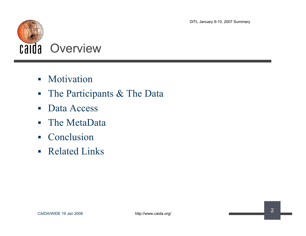

- **Motivation**
- The Participants & The Data
- Data Access
- The MetaData
- Conclusion
- **Related Links**

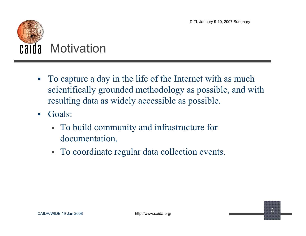

- To capture a day in the life of the Internet with as much scientifically grounded methodology as possible, and with resulting data as widely accessible as possible.
- Goals:
	- To build community and infrastructure for documentation.
	- To coordinate regular data collection events.

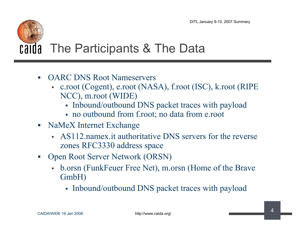# **Calda** The Participants & The Data

- OARC DNS Root Nameservers
	- c.root (Cogent), e.root (NASA), f.root (ISC), k.root (RIPE NCC), m.root (WIDE)
		- Inbound/outbound DNS packet traces with payload
		- no outbound from f.root; no data from e.root
- NaMeX Internet Exchange
	- AS112.namex.it authoritative DNS servers for the reverse zones RFC3330 address space
- Open Root Server Network (ORSN)
	- b.orsn (FunkFeuer Free Net), m.orsn (Home of the Brave GmbH)
		- Inbound/outbound DNS packet traces with payload

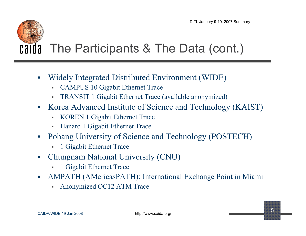#### **Calda** The Participants & The Data (cont.)

- Widely Integrated Distributed Environment (WIDE)
	- CAMPUS 10 Gigabit Ethernet Trace
	- TRANSIT 1 Gigabit Ethernet Trace (available anonymized)
- Korea Advanced Institute of Science and Technology (KAIST)
	- KOREN 1 Gigabit Ethernet Trace
	- Hanaro 1 Gigabit Ethernet Trace
- Pohang University of Science and Technology (POSTECH)
	- 1 Gigabit Ethernet Trace
- Chungnam National University (CNU)
	- 1 Gigabit Ethernet Trace
- AMPATH (AMericasPATH): International Exchange Point in Miami
	- Anonymized OC12 ATM Trace

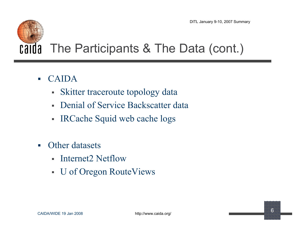### **Calda** The Participants & The Data (cont.)

- CAIDA
	- Skitter traceroute topology data
	- Denial of Service Backscatter data
	- IRCache Squid web cache logs
- **C** Other datasets
	- Internet2 Netflow
	- U of Oregon RouteViews

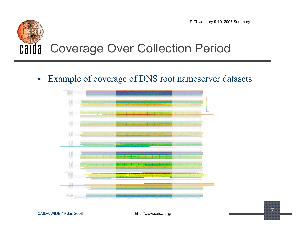

Example of coverage of DNS root nameserver datasets



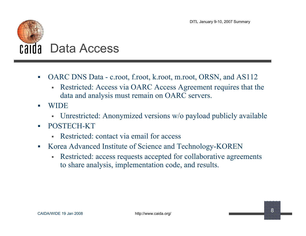

- OARC DNS Data c.root, f.root, k.root, m.root, ORSN, and AS112
	- Restricted: Access via OARC Access Agreement requires that the data and analysis must remain on OARC servers.
- WIDE
	- Unrestricted: Anonymized versions w/o payload publicly available
- POSTECH-KT
	- Restricted: contact via email for access
- Korea Advanced Institute of Science and Technology-KOREN
	- Restricted: access requests accepted for collaborative agreements to share analysis, implementation code, and results.

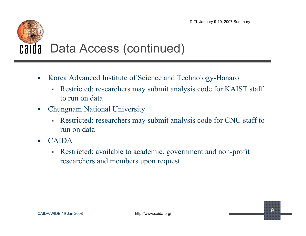#### calda Data Access (continued)

- Korea Advanced Institute of Science and Technology-Hanaro
	- Restricted: researchers may submit analysis code for KAIST staff to run on data
- Chungnam National University
	- Restricted: researchers may submit analysis code for CNU staff to run on data
- $\blacksquare$  CAIDA
	- Restricted: available to academic, government and non-profit researchers and members upon request

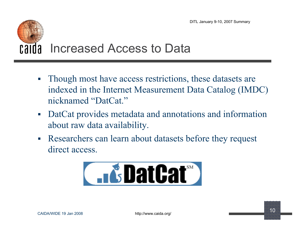### Increased Access to Data Ghi G.

- Though most have access restrictions, these datasets are indexed in the Internet Measurement Data Catalog (IMDC) nicknamed "DatCat."
- DatCat provides metadata and annotations and information about raw data availability.
- Researchers can learn about datasets before they request direct access.



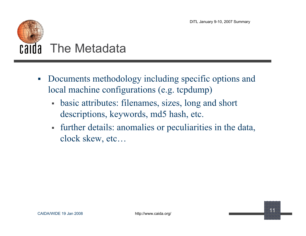

- Documents methodology including specific options and local machine configurations (e.g. tcpdump)
	- basic attributes: filenames, sizes, long and short descriptions, keywords, md5 hash, etc.
	- further details: anomalies or peculiarities in the data, clock skew, etc…

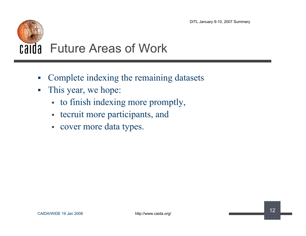# Future Areas of Work

- Complete indexing the remaining datasets
- This year, we hope:
	- to finish indexing more promptly,
	- tecruit more participants, and
	- cover more data types.

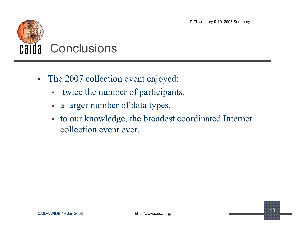

- The 2007 collection event enjoyed:
	- twice the number of participants,
	- a larger number of data types,
	- to our knowledge, the broadest coordinated Internet collection event ever.